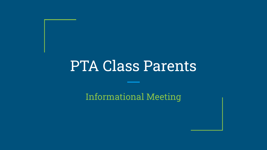## PTA Class Parents

Informational Meeting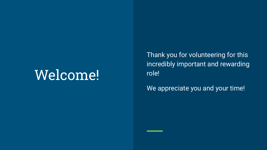## Welcome!

Thank you for volunteering for this incredibly important and rewarding role!

We appreciate you and your time!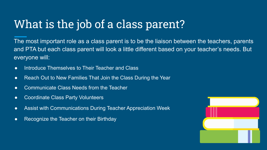### What is the job of a class parent?

The most important role as a class parent is to be the liaison between the teachers, parents and PTA but each class parent will look a little different based on your teacher's needs. But everyone will:

- Introduce Themselves to Their Teacher and Class
- Reach Out to New Families That Join the Class During the Year
- Communicate Class Needs from the Teacher
- Coordinate Class Party Volunteers
- Assist with Communications During Teacher Appreciation Week
- Recognize the Teacher on their Birthday

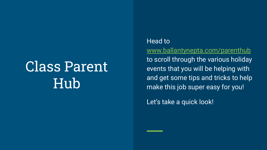## Class Parent Hub

### Head to

[www.ballantynepta.com/parenthub](http://www.ballantynepta.com/parenthub) to scroll through the various holiday events that you will be helping with and get some tips and tricks to help make this job super easy for you!

Let's take a quick look!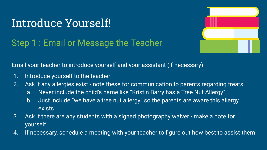### Step 1 : Email or Message the Teacher



Email your teacher to introduce yourself and your assistant (if necessary).

- 1. Introduce yourself to the teacher
- 2. Ask if any allergies exist note these for communication to parents regarding treats
	- a. Never include the child's name like "Kristin Barry has a Tree Nut Allergy"
	- b. Just include "we have a tree nut allergy" so the parents are aware this allergy exists
- 3. Ask if there are any students with a signed photography waiver make a note for yourself
- 4. If necessary, schedule a meeting with your teacher to figure out how best to assist them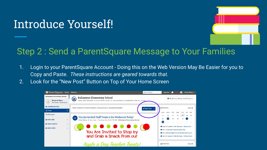

### Step 2 : Send a ParentSquare Message to Your Families

- 1. Login to your ParentSquare Account Doing this on the Web Version May Be Easier for you to Copy and Paste. *These instructions are geared towards that.*
- 2. Look for the "New Post" Button on Top of Your Home Screen

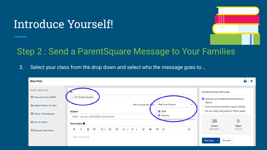

### Step 2 : Send a ParentSquare Message to Your Families

3. Select your class from the drop down and select who the message goes to...

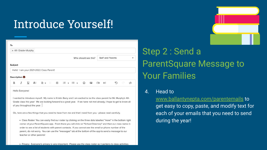| x 4th Grade-Murphy |                          |                      |  |                                          |  |  |  |  |  |  |                          |                          |             |  |   |   |                   |
|--------------------|--------------------------|----------------------|--|------------------------------------------|--|--|--|--|--|--|--------------------------|--------------------------|-------------|--|---|---|-------------------|
|                    |                          | Who should see this? |  |                                          |  |  |  |  |  |  | <b>Staff and Parents</b> |                          |             |  |   |   |                   |
| Subject            |                          |                      |  |                                          |  |  |  |  |  |  |                          |                          |             |  |   |   |                   |
|                    |                          |                      |  | Hello! I am your 2021-2022 Class Parent! |  |  |  |  |  |  |                          |                          |             |  |   |   |                   |
|                    | Description <sup>O</sup> |                      |  |                                          |  |  |  |  |  |  |                          |                          |             |  |   |   |                   |
| B                  | Ι                        | $\underline{U}$      |  | A: E · E · E · E ·                       |  |  |  |  |  |  | $\odot$                  | $\overline{\phantom{a}}$ | $\Box 1$ +: |  | D | C | $\langle \rangle$ |

I wanted to introduce myself. My name is Kristin Barry and I am excited to be the class parent for Mr. Murphy's 4th Grade class this year! We are looking forward to a great year. If we have not met already, I hope to get to know all of you throughout the year.

Ok, here are a few things that you need to have from me and that I need from you - please read carefully.

. Class Roster: You can easily find our roster by clicking on the three dots labelled "more" in the bottom right corner of your ParentSquare app. From there you will click on "School Directory" and then our class name in order to see a list of students with parent contacts. If you cannot see the email or phone number of the parent, do not worry. You can use the "messages" tab at the bottom of the app to send a message to our teacher or other parents!

### Step 2 : Send a ParentSquare Message to Your Families

### 4. Head to

[www.ballantynepta.com/parentemails](http://www.ballantynepta.com/parentemails) to get easy to copy, paste, and modify text for each of your emails that you need to send during the year!

. Privacy: Everyone's privacy is very important. Please use the class roster as it pertains to class activities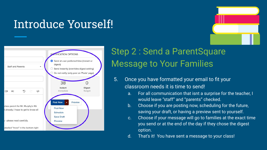



### Step 2 : Send a ParentSquare Message to Your Families

- 5. Once you have formatted your email to fit your classroom needs it is time to send!
	- a. For all communication that isnt a surprise for the teacher, I would leave "staff" and "parents" checked.
	- b. Choose if you are posting now, scheduling for the future, saving your draft, or having a preview sent to yourself.
	- c. Choose if your message will go to families at the exact time you send or at the end of the day if they chose the digest option.
	- d. That's it! You have sent a message to your class!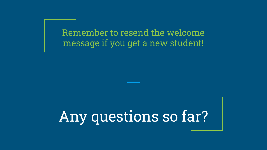Remember to resend the welcome message if you get a new student!

Any questions so far?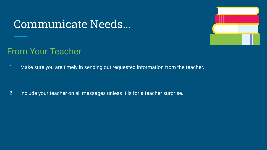### Communicate Needs...



### From Your Teacher

1. Make sure you are timely in sending out requested information from the teacher.

2. Include your teacher on all messages unless it is for a teacher surprise.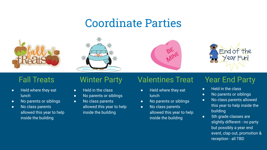### Coordinate Parties









- Held where they eat **lunch**
- No parents or siblings
- No class parents allowed this year to help inside the building

- Held in the class
- No parents or siblings
- No class parents allowed this year to help inside the building

### Fall Treats Winter Party Valentines Treat Year End Party

- Held where they eat lunch
- No parents or siblings
- No class parents allowed this year to help inside the building

- Held in the class
- No parents or siblings
- No class parents allowed this year to help inside the building
- 5th grade classes are slightly different - no party but possibly a year end event, clap out, promotion & reception - all TBD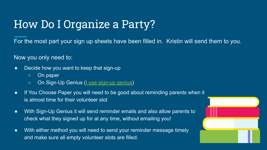### How Do I Organize a Party?

For the most part your sign up sheets have been filled in. Kristin will send them to you.

Now you only need to:

- Decide how you want to keep that sign-up
	- On paper
	- On Sign-Up Genius [\(I use sign-up genius](https://www.signupgenius.com/go/10c094fafaf2ba6f49-mrmurphys1))
- If You Choose Paper you will need to be good about reminding parents when it is almost time for their volunteer slot
- With Sign-Up Genius it will send reminder emails and also allow parents to check what they signed up for at any time, without emailing you!
- With either method you will need to send your reminder message timely and make sure all empty volunteer slots are filled.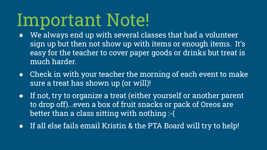## Important Note!

- We always end up with several classes that had a volunteer sign up but then not show up with items or enough items. It's easy for the teacher to cover paper goods or drinks but treat is much harder.
- Check in with your teacher the morning of each event to make sure a treat has shown up (or will)!
- If not, try to organize a treat (either yourself or another parent to drop off)...even a box of fruit snacks or pack of Oreos are better than a class sitting with nothing :-(
- If all else fails email Kristin & the PTA Board will try to help!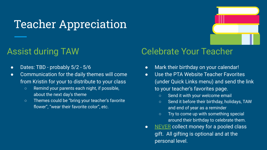### Teacher Appreciation

### Assist during TAW

- Dates: TBD probably 5/2 5/6
- Communication for the daily themes will come from Kristin for your to distribute to your class
	- Remind your parents each night, if possible, about the next day's theme
	- Themes could be "bring your teacher's favorite flower", "wear their favorite color", etc.

### Celebrate Your Teacher

- Mark their birthday on your calendar!
- Use the PTA Website Teacher Favorites (under Quick Links menu) and send the link to your teacher's favorites page.
	- Send it with your welcome email
	- Send it before their birthday, holidays, TAW and end of year as a reminder
	- Try to come up with something special around their birthday to celebrate them.
- NEVER collect money for a pooled class gift. All gifting is optional and at the personal level.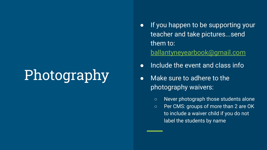## Photography

- If you happen to be supporting your teacher and take pictures...send them to: [ballantyneyearbook@gmail.com](mailto:ballantyneyearbook@gmail.com)
- Include the event and class info
- Make sure to adhere to the photography waivers:
	- Never photograph those students alone
	- Per CMS: groups of more than 2 are OK to include a waiver child if you do not label the students by name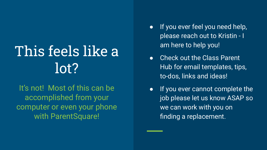## This feels like a lot?

It's not! Most of this can be accomplished from your computer or even your phone with ParentSquare!

- If you ever feel you need help, please reach out to Kristin - I am here to help you!
- Check out the Class Parent Hub for email templates, tips, to-dos, links and ideas!
- If you ever cannot complete the job please let us know ASAP so we can work with you on finding a replacement.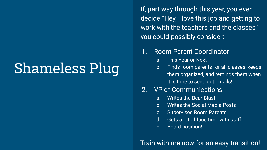## Shameless Plug

If, part way through this year, you ever decide "Hey, I love this job and getting to work with the teachers and the classes" you could possibly consider:

### 1. Room Parent Coordinator

- a. This Year or Next
- b. Finds room parents for all classes, keeps them organized, and reminds them when it is time to send out emails!

### 2. VP of Communications

- a. Writes the Bear Blast
- b. Writes the Social Media Posts
- c. Supervises Room Parents
- d. Gets a lot of face time with staff
- e. Board position!

### Train with me now for an easy transition!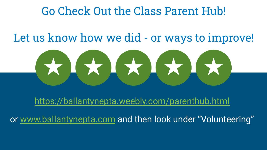### Go Check Out the Class Parent Hub!

### Let us know how we did - or ways to improve!



<https://ballantynepta.weebly.com/parenthub.html>

or [www.ballantynepta.com](http://www.ballantynepta.com) and then look under "Volunteering"